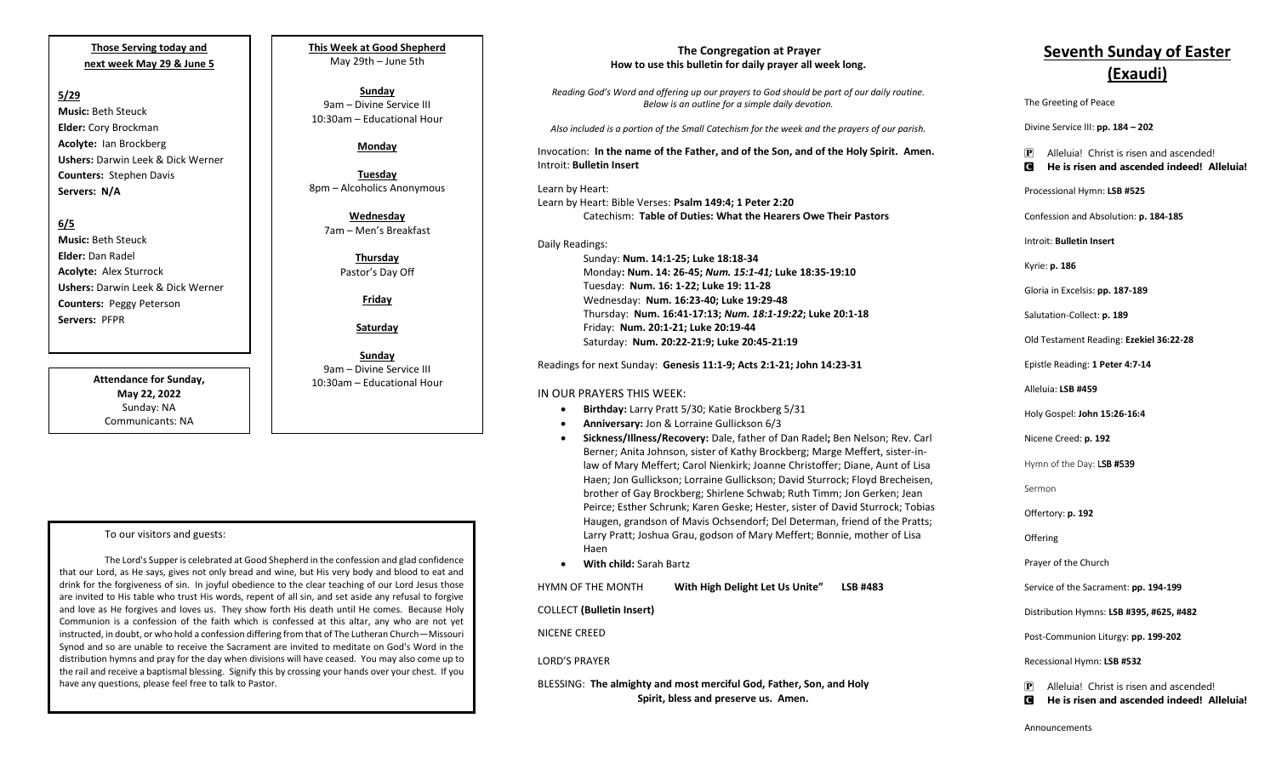## **Those Serving today and next week May 29 & June 5**

### **5/29**

**Music:** Beth Steuck **Elder:** Cory Brockman **Acolyte:** Ian Brockberg **Ushers:** Darwin Leek & Dick Werner **Counters:** Stephen Davis **Servers: N/A**

## **6/5**

**Music:** Beth Steuck **Elder:** Dan Radel **Acolyte:** Alex Sturrock **Ushers:** Darwin Leek & Dick Werner **Counters:** Peggy Peterson **Servers:** PFPR

> **Attendance for Sunday, May 22, 2022** Sunday: NA Communicants: NA

#### **This Week at Good Shepherd** May 29th – June 5th

**Sunday**  9am – Divine Service III 10:30am – Educational Hour

## **Monday**

**Tuesday** 8pm – Alcoholics Anonymous

**Wednesday** 7am – Men's Breakfast

> **Thursday** Pastor's Day Off

> > **Friday**

**Saturday**

**Sunday**  9am – Divine Service III 10:30am – Educational Hour

## To our visitors and guests:

The Lord's Supper is celebrated at Good Shepherd in the confession and glad confidence that our Lord, as He says, gives not only bread and wine, but His very body and blood to eat and drink for the forgiveness of sin. In joyful obedience to the clear teaching of our Lord Jesus those are invited to His table who trust His words, repent of all sin, and set aside any refusal to forgive and love as He forgives and loves us. They show forth His death until He comes. Because Holy Communion is a confession of the faith which is confessed at this altar, any who are not yet instructed, in doubt, or who hold a confession differing from that of The Lutheran Church—Missouri Synod and so are unable to receive the Sacrament are invited to meditate on God's Word in the distribution hymns and pray for the day when divisions will have ceased. You may also come up to the rail and receive a baptismal blessing. Signify this by crossing your hands over your chest. If you have any questions, please feel free to talk to Pastor.

#### **The Congregation at Prayer How to use this bulletin for daily prayer all week long.**

*Reading God's Word and offering up our prayers to God should be part of our daily routine. Below is an outline for a simple daily devotion.*

*Also included is a portion of the Small Catechism for the week and the prayers of our parish.*

Invocation: **In the name of the Father, and of the Son, and of the Holy Spirit. Amen.** Introit: **Bulletin Insert**

Learn by Heart: Learn by Heart: Bible Verses: **Psalm 149:4; 1 Peter 2:20** Catechism: **Table of Duties: What the Hearers Owe Their Pastors**

Daily Readings: Sunday: **Num. 14:1-25; Luke 18:18-34**  Monday**: Num. 14: 26-45;** *Num. 15:1-41;* **Luke 18:35-19:10** Tuesday: **Num. 16: 1-22; Luke 19: 11-28** Wednesday: **Num. 16:23-40; Luke 19:29-48** Thursday: **Num. 16:41-17:13;** *Num. 18:1-19:22***; Luke 20:1-18** Friday: **Num. 20:1-21; Luke 20:19-44** Saturday: **Num. 20:22-21:9; Luke 20:45-21:19**

Readings for next Sunday: **Genesis 11:1-9; Acts 2:1-21; John 14:23-31**

#### IN OUR PRAYERS THIS WEEK:

- **Birthday:** Larry Pratt 5/30; Katie Brockberg 5/31
- **Anniversary:** Jon & Lorraine Gullickson 6/3
- **Sickness/Illness/Recovery:** Dale, father of Dan Radel**;** Ben Nelson; Rev. Carl Berner; Anita Johnson, sister of Kathy Brockberg; Marge Meffert, sister-inlaw of Mary Meffert; Carol Nienkirk; Joanne Christoffer; Diane, Aunt of Lisa Haen; Jon Gullickson; Lorraine Gullickson; David Sturrock; Floyd Brecheisen, brother of Gay Brockberg; Shirlene Schwab; Ruth Timm; Jon Gerken; Jean Peirce; Esther Schrunk; Karen Geske; Hester, sister of David Sturrock; Tobias Haugen, grandson of Mavis Ochsendorf; Del Determan, friend of the Pratts; Larry Pratt; Joshua Grau, godson of Mary Meffert; Bonnie, mother of Lisa Haen
- **With child:** Sarah Bartz

HYMN OF THE MONTH **With High Delight Let Us Unite" LSB #483**

COLLECT **(Bulletin Insert)**

NICENE CREED

#### LORD'S PRAYER

BLESSING: **The almighty and most merciful God, Father, Son, and Holy Spirit, bless and preserve us. Amen.**

# **Seventh Sunday of Easter (Exaudi)**

The Greeting of Peace

Divine Service III: **pp. 184 – 202**

#### P Alleluia! Christ is risen and ascended! C **He is risen and ascended indeed! Alleluia!**

Processional Hymn: **LSB #525**

Confession and Absolution: **p. 184-185**

Introit: **Bulletin Insert** 

Kyrie: **p. 186**

Gloria in Excelsis: **pp. 187-189**

Salutation-Collect: **p. 189**

Old Testament Reading: **Ezekiel 36:22-28**

Epistle Reading: **1 Peter 4:7-14**

Alleluia: **LSB #459**

Holy Gospel: **John 15:26-16:4**

Nicene Creed: **p. 192**

Hymn of the Day: LSB #539

Sermon

Offertory: **p. 192**

**Offering** 

Prayer of the Church

Service of the Sacrament: **pp. 194-199**

Distribution Hymns: **LSB #395, #625, #482**

Post-Communion Liturgy: **pp. 199-202** 

Recessional Hymn: **LSB #532**

P Alleluia! Christ is risen and ascended! C **He is risen and ascended indeed! Alleluia!**

Announcements